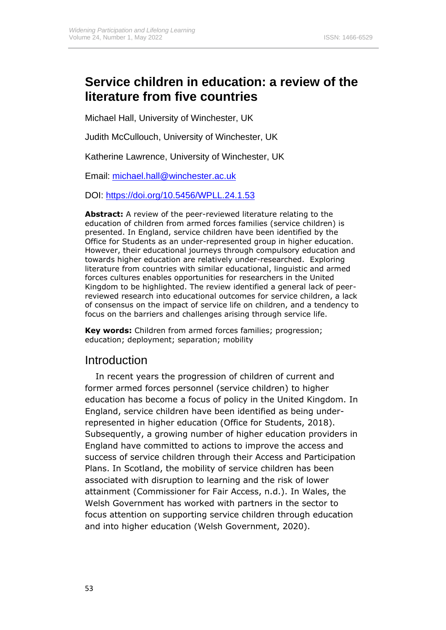# **Service children in education: a review of the literature from five countries**

Michael Hall, University of Winchester, UK

Judith McCullouch, University of Winchester, UK

Katherine Lawrence, University of Winchester, UK

Email: [michael.hall@winchester.ac.uk](mailto:michael.hall@winchester.ac.uk)

DOI: [https://doi.org/10.5456/WPLL.24.1.5](https://doi.org/10.5456/WPLL.24.1.)3

**Abstract:** A review of the peer-reviewed literature relating to the education of children from armed forces families (service children) is presented. In England, service children have been identified by the Office for Students as an under-represented group in higher education. However, their educational journeys through compulsory education and towards higher education are relatively under-researched. Exploring literature from countries with similar educational, linguistic and armed forces cultures enables opportunities for researchers in the United Kingdom to be highlighted. The review identified a general lack of peerreviewed research into educational outcomes for service children, a lack of consensus on the impact of service life on children, and a tendency to focus on the barriers and challenges arising through service life.

**Key words:** Children from armed forces families; progression; education; deployment; separation; mobility

# Introduction

In recent years the progression of children of current and former armed forces personnel (service children) to higher education has become a focus of policy in the United Kingdom. In England, service children have been identified as being underrepresented in higher education (Office for Students, 2018). Subsequently, a growing number of higher education providers in England have committed to actions to improve the access and success of service children through their Access and Participation Plans. In Scotland, the mobility of service children has been associated with disruption to learning and the risk of lower attainment (Commissioner for Fair Access, n.d.). In Wales, the Welsh Government has worked with partners in the sector to focus attention on supporting service children through education and into higher education (Welsh Government, 2020).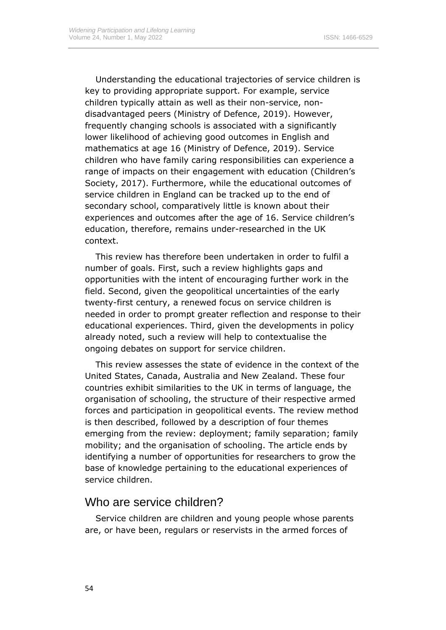Understanding the educational trajectories of service children is key to providing appropriate support. For example, service children typically attain as well as their non-service, nondisadvantaged peers (Ministry of Defence, 2019). However, frequently changing schools is associated with a significantly lower likelihood of achieving good outcomes in English and mathematics at age 16 (Ministry of Defence, 2019). Service children who have family caring responsibilities can experience a range of impacts on their engagement with education (Children's Society, 2017). Furthermore, while the educational outcomes of service children in England can be tracked up to the end of secondary school, comparatively little is known about their experiences and outcomes after the age of 16. Service children's education, therefore, remains under-researched in the UK context.

This review has therefore been undertaken in order to fulfil a number of goals. First, such a review highlights gaps and opportunities with the intent of encouraging further work in the field. Second, given the geopolitical uncertainties of the early twenty-first century, a renewed focus on service children is needed in order to prompt greater reflection and response to their educational experiences. Third, given the developments in policy already noted, such a review will help to contextualise the ongoing debates on support for service children.

This review assesses the state of evidence in the context of the United States, Canada, Australia and New Zealand. These four countries exhibit similarities to the UK in terms of language, the organisation of schooling, the structure of their respective armed forces and participation in geopolitical events. The review method is then described, followed by a description of four themes emerging from the review: deployment; family separation; family mobility; and the organisation of schooling. The article ends by identifying a number of opportunities for researchers to grow the base of knowledge pertaining to the educational experiences of service children.

### Who are service children?

Service children are children and young people whose parents are, or have been, regulars or reservists in the armed forces of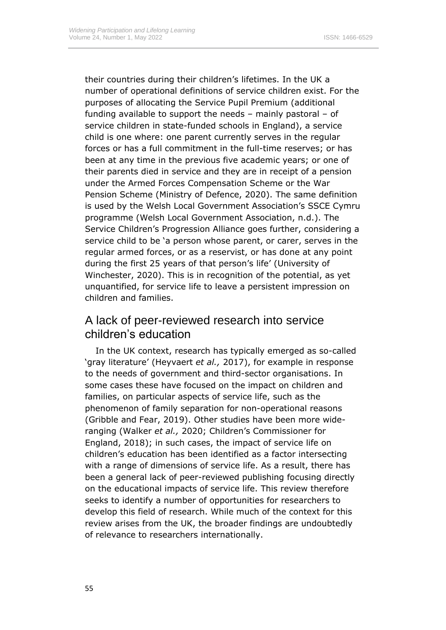their countries during their children's lifetimes. In the UK a number of operational definitions of service children exist. For the purposes of allocating the Service Pupil Premium (additional funding available to support the needs – mainly pastoral – of service children in state-funded schools in England), a service child is one where: one parent currently serves in the regular forces or has a full commitment in the full-time reserves; or has been at any time in the previous five academic years; or one of their parents died in service and they are in receipt of a pension under the Armed Forces Compensation Scheme or the War Pension Scheme (Ministry of Defence, 2020). The same definition is used by the Welsh Local Government Association's SSCE Cymru programme (Welsh Local Government Association, n.d.). The Service Children's Progression Alliance goes further, considering a service child to be 'a person whose parent, or carer, serves in the regular armed forces, or as a reservist, or has done at any point during the first 25 years of that person's life' (University of Winchester, 2020). This is in recognition of the potential, as yet unquantified, for service life to leave a persistent impression on children and families.

# A lack of peer-reviewed research into service children's education

In the UK context, research has typically emerged as so-called 'gray literature' (Heyvaert *et al.,* 2017), for example in response to the needs of government and third-sector organisations. In some cases these have focused on the impact on children and families, on particular aspects of service life, such as the phenomenon of family separation for non-operational reasons (Gribble and Fear, 2019). Other studies have been more wideranging (Walker *et al.,* 2020; Children's Commissioner for England, 2018); in such cases, the impact of service life on children's education has been identified as a factor intersecting with a range of dimensions of service life. As a result, there has been a general lack of peer-reviewed publishing focusing directly on the educational impacts of service life. This review therefore seeks to identify a number of opportunities for researchers to develop this field of research. While much of the context for this review arises from the UK, the broader findings are undoubtedly of relevance to researchers internationally.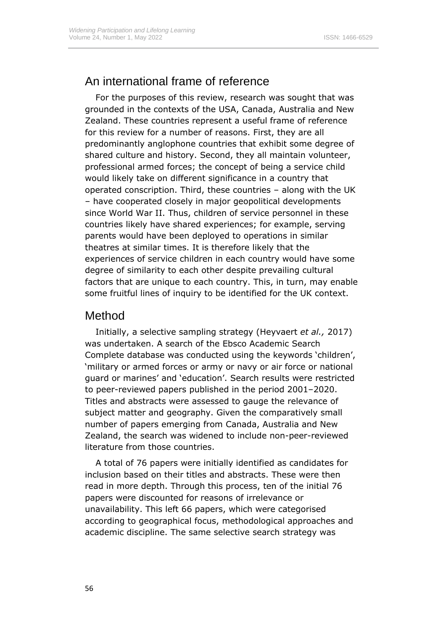# An international frame of reference

For the purposes of this review, research was sought that was grounded in the contexts of the USA, Canada, Australia and New Zealand. These countries represent a useful frame of reference for this review for a number of reasons. First, they are all predominantly anglophone countries that exhibit some degree of shared culture and history. Second, they all maintain volunteer, professional armed forces; the concept of being a service child would likely take on different significance in a country that operated conscription. Third, these countries – along with the UK – have cooperated closely in major geopolitical developments since World War II. Thus, children of service personnel in these countries likely have shared experiences; for example, serving parents would have been deployed to operations in similar theatres at similar times. It is therefore likely that the experiences of service children in each country would have some degree of similarity to each other despite prevailing cultural factors that are unique to each country. This, in turn, may enable some fruitful lines of inquiry to be identified for the UK context.

## Method

Initially, a selective sampling strategy (Heyvaert *et al.,* 2017) was undertaken. A search of the Ebsco Academic Search Complete database was conducted using the keywords 'children', 'military or armed forces or army or navy or air force or national guard or marines' and 'education'. Search results were restricted to peer-reviewed papers published in the period 2001–2020. Titles and abstracts were assessed to gauge the relevance of subject matter and geography. Given the comparatively small number of papers emerging from Canada, Australia and New Zealand, the search was widened to include non-peer-reviewed literature from those countries.

A total of 76 papers were initially identified as candidates for inclusion based on their titles and abstracts. These were then read in more depth. Through this process, ten of the initial 76 papers were discounted for reasons of irrelevance or unavailability. This left 66 papers, which were categorised according to geographical focus, methodological approaches and academic discipline. The same selective search strategy was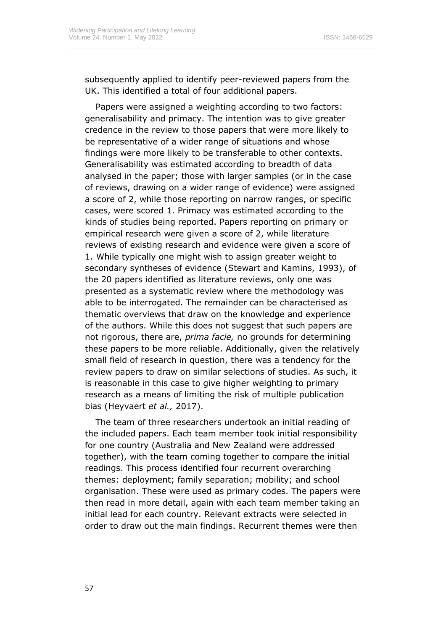subsequently applied to identify peer-reviewed papers from the UK. This identified a total of four additional papers.

Papers were assigned a weighting according to two factors: generalisability and primacy. The intention was to give greater credence in the review to those papers that were more likely to be representative of a wider range of situations and whose findings were more likely to be transferable to other contexts. Generalisability was estimated according to breadth of data analysed in the paper; those with larger samples (or in the case of reviews, drawing on a wider range of evidence) were assigned a score of 2, while those reporting on narrow ranges, or specific cases, were scored 1. Primacy was estimated according to the kinds of studies being reported. Papers reporting on primary or empirical research were given a score of 2, while literature reviews of existing research and evidence were given a score of 1. While typically one might wish to assign greater weight to secondary syntheses of evidence (Stewart and Kamins, 1993), of the 20 papers identified as literature reviews, only one was presented as a systematic review where the methodology was able to be interrogated. The remainder can be characterised as thematic overviews that draw on the knowledge and experience of the authors. While this does not suggest that such papers are not rigorous, there are, *prima facie,* no grounds for determining these papers to be more reliable. Additionally, given the relatively small field of research in question, there was a tendency for the review papers to draw on similar selections of studies. As such, it is reasonable in this case to give higher weighting to primary research as a means of limiting the risk of multiple publication bias (Heyvaert *et al.,* 2017).

The team of three researchers undertook an initial reading of the included papers. Each team member took initial responsibility for one country (Australia and New Zealand were addressed together), with the team coming together to compare the initial readings. This process identified four recurrent overarching themes: deployment; family separation; mobility; and school organisation. These were used as primary codes. The papers were then read in more detail, again with each team member taking an initial lead for each country. Relevant extracts were selected in order to draw out the main findings. Recurrent themes were then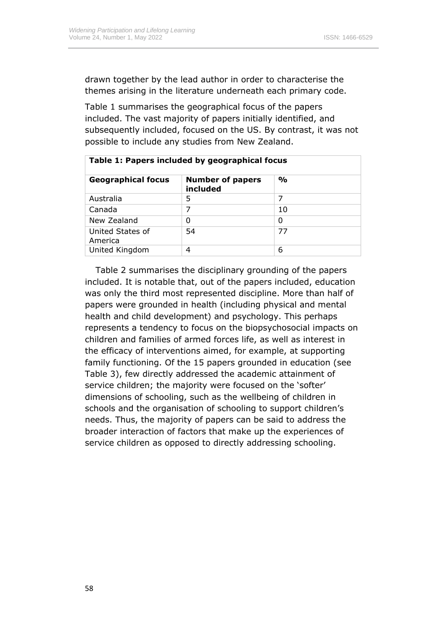drawn together by the lead author in order to characterise the themes arising in the literature underneath each primary code.

Table 1 summarises the geographical focus of the papers included. The vast majority of papers initially identified, and subsequently included, focused on the US. By contrast, it was not possible to include any studies from New Zealand.

| Table 1: Papers included by geographical focus |                                     |               |  |
|------------------------------------------------|-------------------------------------|---------------|--|
| <b>Geographical focus</b>                      | <b>Number of papers</b><br>included | $\frac{1}{2}$ |  |
| Australia                                      | 5                                   | 7             |  |
| Canada                                         | 7                                   | 10            |  |
| New Zealand                                    | 0                                   | 0             |  |
| United States of<br>America                    | 54                                  | 77            |  |
| United Kingdom                                 | 4                                   | 6             |  |

Table 2 summarises the disciplinary grounding of the papers included. It is notable that, out of the papers included, education was only the third most represented discipline. More than half of papers were grounded in health (including physical and mental health and child development) and psychology. This perhaps represents a tendency to focus on the biopsychosocial impacts on children and families of armed forces life, as well as interest in the efficacy of interventions aimed, for example, at supporting family functioning. Of the 15 papers grounded in education (see Table 3), few directly addressed the academic attainment of service children; the majority were focused on the 'softer' dimensions of schooling, such as the wellbeing of children in schools and the organisation of schooling to support children's needs. Thus, the majority of papers can be said to address the broader interaction of factors that make up the experiences of service children as opposed to directly addressing schooling.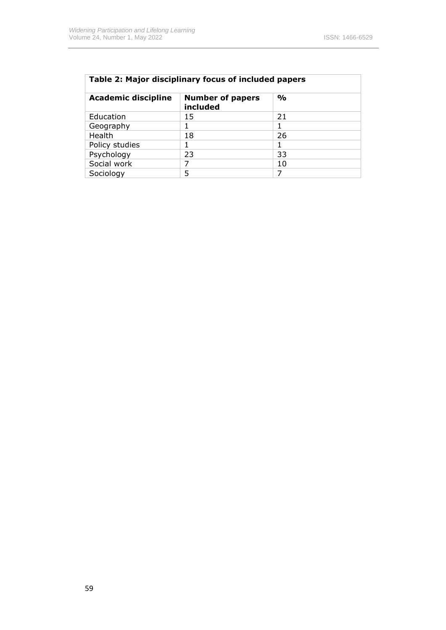| Table 2: Major disciplinary focus of included papers |                                     |               |  |
|------------------------------------------------------|-------------------------------------|---------------|--|
| <b>Academic discipline</b>                           | <b>Number of papers</b><br>included | $\frac{0}{0}$ |  |
| Education                                            | 15                                  | 21            |  |
| Geography                                            |                                     | 1             |  |
| Health                                               | 18                                  | 26            |  |
| Policy studies                                       |                                     | 1             |  |
| Psychology                                           | 23                                  | 33            |  |
| Social work                                          | 7                                   | 10            |  |
| Sociology                                            | 5                                   |               |  |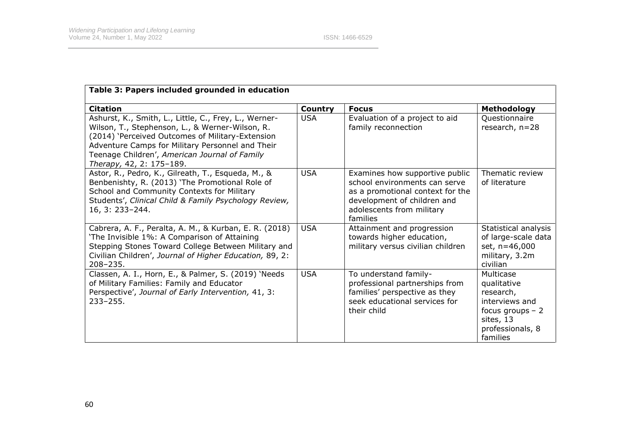| Table 3: Papers included grounded in education                                                                                                                                                                                                                                                |                |                                                                                                                                                                             |                                                                                                                           |
|-----------------------------------------------------------------------------------------------------------------------------------------------------------------------------------------------------------------------------------------------------------------------------------------------|----------------|-----------------------------------------------------------------------------------------------------------------------------------------------------------------------------|---------------------------------------------------------------------------------------------------------------------------|
| <b>Citation</b>                                                                                                                                                                                                                                                                               | <b>Country</b> | <b>Focus</b>                                                                                                                                                                | Methodology                                                                                                               |
| Ashurst, K., Smith, L., Little, C., Frey, L., Werner-<br>Wilson, T., Stephenson, L., & Werner-Wilson, R.<br>(2014) 'Perceived Outcomes of Military-Extension<br>Adventure Camps for Military Personnel and Their<br>Teenage Children', American Journal of Family<br>Therapy, 42, 2: 175-189. | <b>USA</b>     | Evaluation of a project to aid<br>family reconnection                                                                                                                       | Questionnaire<br>research, $n=28$                                                                                         |
| Astor, R., Pedro, K., Gilreath, T., Esqueda, M., &<br>Benbenishty, R. (2013) 'The Promotional Role of<br>School and Community Contexts for Military<br>Students', Clinical Child & Family Psychology Review,<br>16, 3: 233-244.                                                               | <b>USA</b>     | Examines how supportive public<br>school environments can serve<br>as a promotional context for the<br>development of children and<br>adolescents from military<br>families | Thematic review<br>of literature                                                                                          |
| Cabrera, A. F., Peralta, A. M., & Kurban, E. R. (2018)<br>'The Invisible 1%: A Comparison of Attaining<br>Stepping Stones Toward College Between Military and<br>Civilian Children', Journal of Higher Education, 89, 2:<br>$208 - 235.$                                                      | <b>USA</b>     | Attainment and progression<br>towards higher education,<br>military versus civilian children                                                                                | Statistical analysis<br>of large-scale data<br>set, n=46,000<br>military, 3.2m<br>civilian                                |
| Classen, A. I., Horn, E., & Palmer, S. (2019) 'Needs<br>of Military Families: Family and Educator<br>Perspective', Journal of Early Intervention, 41, 3:<br>$233 - 255.$                                                                                                                      | <b>USA</b>     | To understand family-<br>professional partnerships from<br>families' perspective as they<br>seek educational services for<br>their child                                    | Multicase<br>qualitative<br>research,<br>interviews and<br>focus groups $-2$<br>sites, 13<br>professionals, 8<br>families |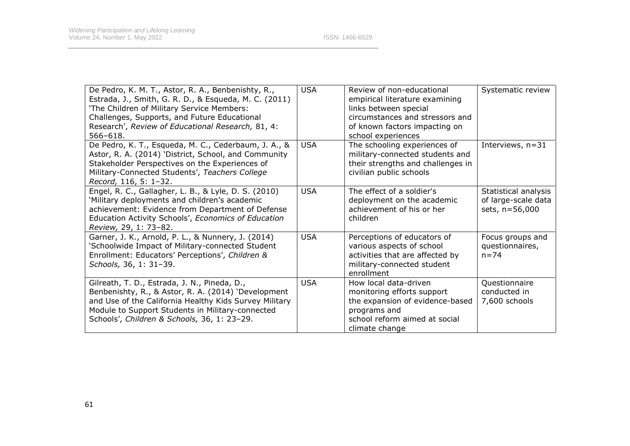| De Pedro, K. M. T., Astor, R. A., Benbenishty, R.,<br>Estrada, J., Smith, G. R. D., & Esqueda, M. C. (2011)<br>'The Children of Military Service Members:<br>Challenges, Supports, and Future Educational<br>Research', Review of Educational Research, 81, 4:<br>$566 - 618.$ | <b>USA</b> | Review of non-educational<br>empirical literature examining<br>links between special<br>circumstances and stressors and<br>of known factors impacting on<br>school experiences | Systematic review                                             |
|--------------------------------------------------------------------------------------------------------------------------------------------------------------------------------------------------------------------------------------------------------------------------------|------------|--------------------------------------------------------------------------------------------------------------------------------------------------------------------------------|---------------------------------------------------------------|
| De Pedro, K. T., Esqueda, M. C., Cederbaum, J. A., &<br>Astor, R. A. (2014) 'District, School, and Community<br>Stakeholder Perspectives on the Experiences of<br>Military-Connected Students', Teachers College<br>Record, 116, 5: 1-32.                                      | <b>USA</b> | The schooling experiences of<br>military-connected students and<br>their strengths and challenges in<br>civilian public schools                                                | Interviews, n=31                                              |
| Engel, R. C., Gallagher, L. B., & Lyle, D. S. (2010)<br>'Military deployments and children's academic<br>achievement: Evidence from Department of Defense<br>Education Activity Schools', Economics of Education<br>Review, 29, 1: 73-82.                                      | <b>USA</b> | The effect of a soldier's<br>deployment on the academic<br>achievement of his or her<br>children                                                                               | Statistical analysis<br>of large-scale data<br>sets, n=56,000 |
| Garner, J. K., Arnold, P. L., & Nunnery, J. (2014)<br>'Schoolwide Impact of Military-connected Student<br>Enrollment: Educators' Perceptions', Children &<br>Schools, 36, 1: 31-39.                                                                                            | <b>USA</b> | Perceptions of educators of<br>various aspects of school<br>activities that are affected by<br>military-connected student<br>enrollment                                        | Focus groups and<br>questionnaires,<br>$n = 74$               |
| Gilreath, T. D., Estrada, J. N., Pineda, D.,<br>Benbenishty, R., & Astor, R. A. (2014) 'Development<br>and Use of the California Healthy Kids Survey Military<br>Module to Support Students in Military-connected<br>Schools', Children & Schools, 36, 1: 23-29.               | <b>USA</b> | How local data-driven<br>monitoring efforts support<br>the expansion of evidence-based<br>programs and<br>school reform aimed at social<br>climate change                      | Questionnaire<br>conducted in<br>7,600 schools                |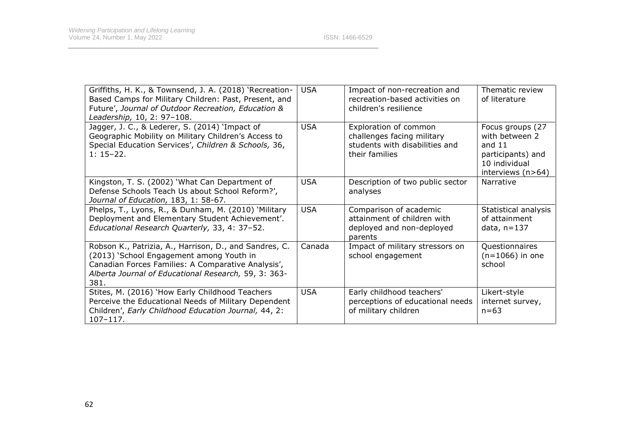| Griffiths, H. K., & Townsend, J. A. (2018) 'Recreation-<br>Based Camps for Military Children: Past, Present, and<br>Future', Journal of Outdoor Recreation, Education &<br>Leadership, 10, 2: 97-108.                    | <b>USA</b> | Impact of non-recreation and<br>recreation-based activities on<br>children's resilience                 | Thematic review<br>of literature                                                                            |
|--------------------------------------------------------------------------------------------------------------------------------------------------------------------------------------------------------------------------|------------|---------------------------------------------------------------------------------------------------------|-------------------------------------------------------------------------------------------------------------|
| Jagger, J. C., & Lederer, S. (2014) 'Impact of<br>Geographic Mobility on Military Children's Access to<br>Special Education Services', Children & Schools, 36,<br>$1: 15 - 22.$                                          | <b>USA</b> | Exploration of common<br>challenges facing military<br>students with disabilities and<br>their families | Focus groups (27<br>with between 2<br>and $11$<br>participants) and<br>10 individual<br>interviews $(n>64)$ |
| Kingston, T. S. (2002) 'What Can Department of<br>Defense Schools Teach Us about School Reform?',<br>Journal of Education, 183, 1: 58-67.                                                                                | <b>USA</b> | Description of two public sector<br>analyses                                                            | Narrative                                                                                                   |
| Phelps, T., Lyons, R., & Dunham, M. (2010) 'Military<br>Deployment and Elementary Student Achievement'.<br>Educational Research Quarterly, 33, 4: 37-52.                                                                 | <b>USA</b> | Comparison of academic<br>attainment of children with<br>deployed and non-deployed<br>parents           | Statistical analysis<br>of attainment<br>data, $n=137$                                                      |
| Robson K., Patrizia, A., Harrison, D., and Sandres, C.<br>(2013) 'School Engagement among Youth in<br>Canadian Forces Families: A Comparative Analysis',<br>Alberta Journal of Educational Research, 59, 3: 363-<br>381. | Canada     | Impact of military stressors on<br>school engagement                                                    | Questionnaires<br>$(n=1066)$ in one<br>school                                                               |
| Stites, M. (2016) 'How Early Childhood Teachers<br>Perceive the Educational Needs of Military Dependent<br>Children', Early Childhood Education Journal, 44, 2:<br>$107 - 117.$                                          | <b>USA</b> | Early childhood teachers'<br>perceptions of educational needs<br>of military children                   | Likert-style<br>internet survey,<br>$n = 63$                                                                |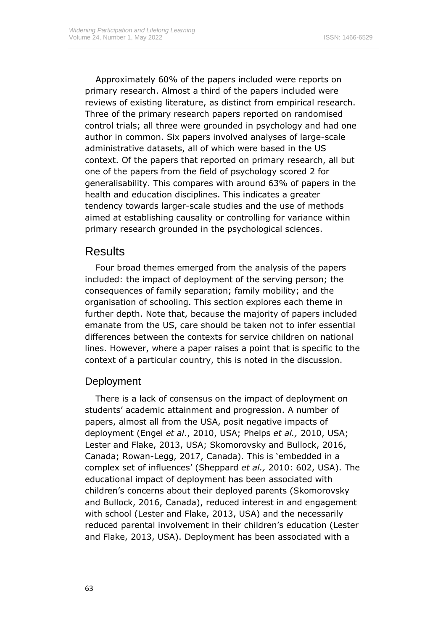Approximately 60% of the papers included were reports on primary research. Almost a third of the papers included were reviews of existing literature, as distinct from empirical research. Three of the primary research papers reported on randomised control trials; all three were grounded in psychology and had one author in common. Six papers involved analyses of large-scale administrative datasets, all of which were based in the US context. Of the papers that reported on primary research, all but one of the papers from the field of psychology scored 2 for generalisability. This compares with around 63% of papers in the health and education disciplines. This indicates a greater tendency towards larger-scale studies and the use of methods aimed at establishing causality or controlling for variance within primary research grounded in the psychological sciences.

# Results

Four broad themes emerged from the analysis of the papers included: the impact of deployment of the serving person; the consequences of family separation; family mobility; and the organisation of schooling. This section explores each theme in further depth. Note that, because the majority of papers included emanate from the US, care should be taken not to infer essential differences between the contexts for service children on national lines. However, where a paper raises a point that is specific to the context of a particular country, this is noted in the discussion.

### **Deployment**

There is a lack of consensus on the impact of deployment on students' academic attainment and progression. A number of papers, almost all from the USA, posit negative impacts of deployment (Engel *et al*., 2010, USA; Phelps *et al.,* 2010, USA; Lester and Flake, 2013, USA; Skomorovsky and Bullock, 2016, Canada; Rowan-Legg, 2017, Canada). This is 'embedded in a complex set of influences' (Sheppard *et al.,* 2010: 602, USA). The educational impact of deployment has been associated with children's concerns about their deployed parents (Skomorovsky and Bullock, 2016, Canada), reduced interest in and engagement with school (Lester and Flake, 2013, USA) and the necessarily reduced parental involvement in their children's education (Lester and Flake, 2013, USA). Deployment has been associated with a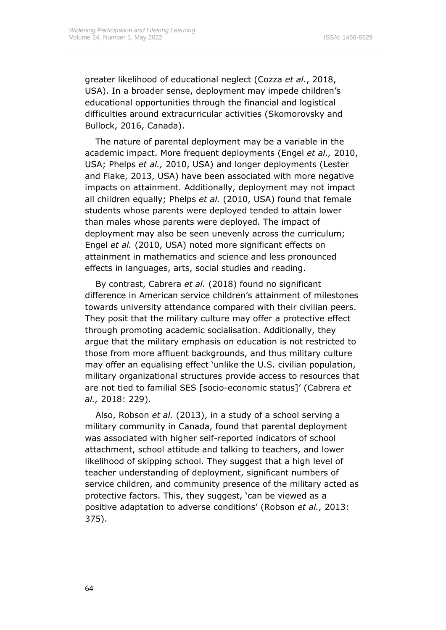greater likelihood of educational neglect (Cozza *et al*., 2018, USA). In a broader sense, deployment may impede children's educational opportunities through the financial and logistical difficulties around extracurricular activities (Skomorovsky and Bullock, 2016, Canada).

The nature of parental deployment may be a variable in the academic impact. More frequent deployments (Engel *et al.,* 2010, USA; Phelps *et al.,* 2010, USA) and longer deployments (Lester and Flake, 2013, USA) have been associated with more negative impacts on attainment. Additionally, deployment may not impact all children equally; Phelps *et al.* (2010, USA) found that female students whose parents were deployed tended to attain lower than males whose parents were deployed. The impact of deployment may also be seen unevenly across the curriculum; Engel *et al.* (2010, USA) noted more significant effects on attainment in mathematics and science and less pronounced effects in languages, arts, social studies and reading.

By contrast, Cabrera *et al.* (2018) found no significant difference in American service children's attainment of milestones towards university attendance compared with their civilian peers. They posit that the military culture may offer a protective effect through promoting academic socialisation. Additionally, they argue that the military emphasis on education is not restricted to those from more affluent backgrounds, and thus military culture may offer an equalising effect 'unlike the U.S. civilian population, military organizational structures provide access to resources that are not tied to familial SES [socio-economic status]' (Cabrera *et al.,* 2018: 229).

Also, Robson *et al.* (2013), in a study of a school serving a military community in Canada, found that parental deployment was associated with higher self-reported indicators of school attachment, school attitude and talking to teachers, and lower likelihood of skipping school. They suggest that a high level of teacher understanding of deployment, significant numbers of service children, and community presence of the military acted as protective factors. This, they suggest, 'can be viewed as a positive adaptation to adverse conditions' (Robson *et al.,* 2013: 375).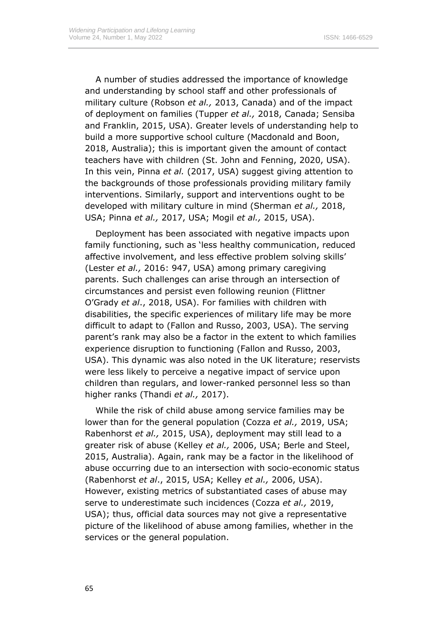A number of studies addressed the importance of knowledge and understanding by school staff and other professionals of military culture (Robson *et al.,* 2013, Canada) and of the impact of deployment on families (Tupper *et al.,* 2018, Canada; Sensiba and Franklin, 2015, USA). Greater levels of understanding help to build a more supportive school culture (Macdonald and Boon, 2018, Australia); this is important given the amount of contact teachers have with children (St. John and Fenning, 2020, USA). In this vein, Pinna *et al.* (2017, USA) suggest giving attention to the backgrounds of those professionals providing military family interventions. Similarly, support and interventions ought to be developed with military culture in mind (Sherman *et al.,* 2018, USA; Pinna *et al.,* 2017, USA; Mogil *et al.,* 2015, USA).

Deployment has been associated with negative impacts upon family functioning, such as 'less healthy communication, reduced affective involvement, and less effective problem solving skills' (Lester *et al.,* 2016: 947, USA) among primary caregiving parents. Such challenges can arise through an intersection of circumstances and persist even following reunion (Flittner O'Grady *et al*., 2018, USA). For families with children with disabilities, the specific experiences of military life may be more difficult to adapt to (Fallon and Russo, 2003, USA). The serving parent's rank may also be a factor in the extent to which families experience disruption to functioning (Fallon and Russo, 2003, USA). This dynamic was also noted in the UK literature; reservists were less likely to perceive a negative impact of service upon children than regulars, and lower-ranked personnel less so than higher ranks (Thandi *et al.,* 2017).

While the risk of child abuse among service families may be lower than for the general population (Cozza *et al.,* 2019, USA; Rabenhorst *et al.,* 2015, USA), deployment may still lead to a greater risk of abuse (Kelley *et al.,* 2006, USA; Berle and Steel, 2015, Australia). Again, rank may be a factor in the likelihood of abuse occurring due to an intersection with socio-economic status (Rabenhorst *et al*., 2015, USA; Kelley *et al.,* 2006, USA). However, existing metrics of substantiated cases of abuse may serve to underestimate such incidences (Cozza *et al.,* 2019, USA); thus, official data sources may not give a representative picture of the likelihood of abuse among families, whether in the services or the general population.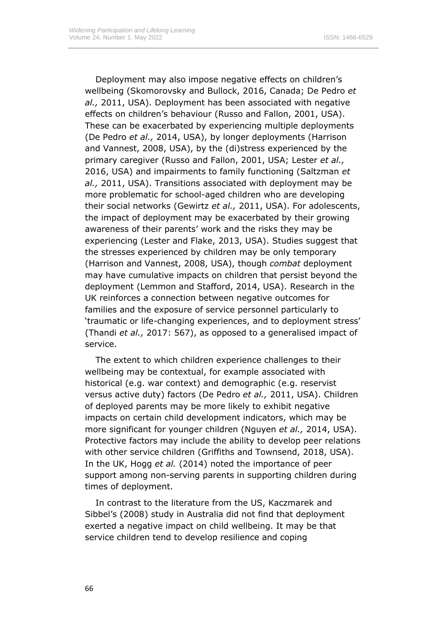Deployment may also impose negative effects on children's wellbeing (Skomorovsky and Bullock, 2016, Canada; De Pedro *et al.,* 2011, USA). Deployment has been associated with negative effects on children's behaviour (Russo and Fallon, 2001, USA). These can be exacerbated by experiencing multiple deployments (De Pedro *et al.,* 2014, USA), by longer deployments (Harrison and Vannest, 2008, USA), by the (di)stress experienced by the primary caregiver (Russo and Fallon, 2001, USA; Lester *et al.,* 2016, USA) and impairments to family functioning (Saltzman *et al.,* 2011, USA). Transitions associated with deployment may be more problematic for school-aged children who are developing their social networks (Gewirtz *et al.,* 2011, USA). For adolescents, the impact of deployment may be exacerbated by their growing awareness of their parents' work and the risks they may be experiencing (Lester and Flake, 2013, USA). Studies suggest that the stresses experienced by children may be only temporary (Harrison and Vannest, 2008, USA), though *combat* deployment may have cumulative impacts on children that persist beyond the deployment (Lemmon and Stafford, 2014, USA). Research in the UK reinforces a connection between negative outcomes for families and the exposure of service personnel particularly to 'traumatic or life-changing experiences, and to deployment stress' (Thandi *et al.,* 2017: 567), as opposed to a generalised impact of service.

The extent to which children experience challenges to their wellbeing may be contextual, for example associated with historical (e.g. war context) and demographic (e.g. reservist versus active duty) factors (De Pedro *et al.,* 2011, USA). Children of deployed parents may be more likely to exhibit negative impacts on certain child development indicators, which may be more significant for younger children (Nguyen *et al.,* 2014, USA). Protective factors may include the ability to develop peer relations with other service children (Griffiths and Townsend, 2018, USA). In the UK, Hogg *et al.* (2014) noted the importance of peer support among non-serving parents in supporting children during times of deployment.

In contrast to the literature from the US, Kaczmarek and Sibbel's (2008) study in Australia did not find that deployment exerted a negative impact on child wellbeing. It may be that service children tend to develop resilience and coping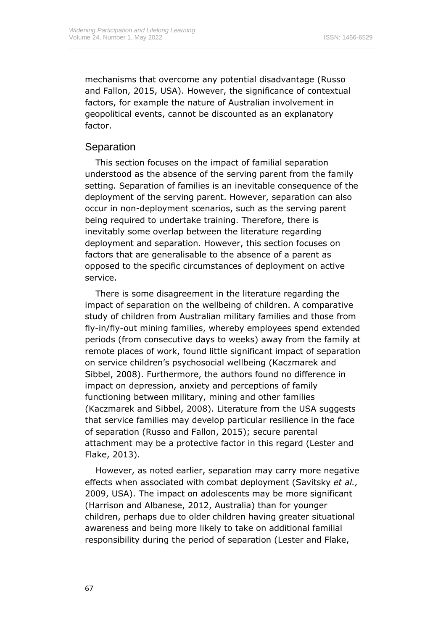mechanisms that overcome any potential disadvantage (Russo and Fallon, 2015, USA). However, the significance of contextual factors, for example the nature of Australian involvement in geopolitical events, cannot be discounted as an explanatory factor.

### **Separation**

This section focuses on the impact of familial separation understood as the absence of the serving parent from the family setting. Separation of families is an inevitable consequence of the deployment of the serving parent. However, separation can also occur in non-deployment scenarios, such as the serving parent being required to undertake training. Therefore, there is inevitably some overlap between the literature regarding deployment and separation. However, this section focuses on factors that are generalisable to the absence of a parent as opposed to the specific circumstances of deployment on active service.

There is some disagreement in the literature regarding the impact of separation on the wellbeing of children. A comparative study of children from Australian military families and those from fly-in/fly-out mining families, whereby employees spend extended periods (from consecutive days to weeks) away from the family at remote places of work, found little significant impact of separation on service children's psychosocial wellbeing (Kaczmarek and Sibbel, 2008). Furthermore, the authors found no difference in impact on depression, anxiety and perceptions of family functioning between military, mining and other families (Kaczmarek and Sibbel, 2008). Literature from the USA suggests that service families may develop particular resilience in the face of separation (Russo and Fallon, 2015); secure parental attachment may be a protective factor in this regard (Lester and Flake, 2013).

However, as noted earlier, separation may carry more negative effects when associated with combat deployment (Savitsky *et al.,* 2009, USA). The impact on adolescents may be more significant (Harrison and Albanese, 2012, Australia) than for younger children, perhaps due to older children having greater situational awareness and being more likely to take on additional familial responsibility during the period of separation (Lester and Flake,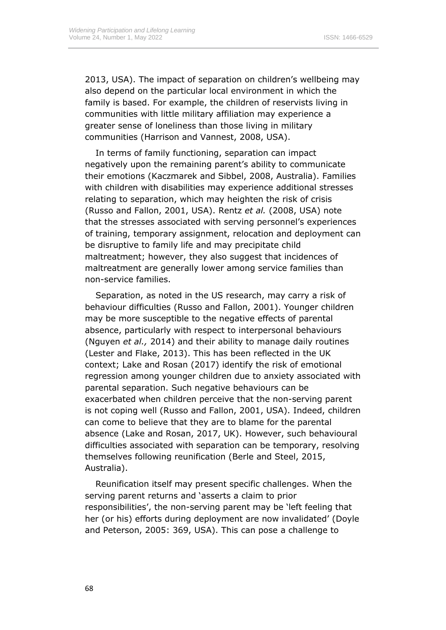2013, USA). The impact of separation on children's wellbeing may also depend on the particular local environment in which the family is based. For example, the children of reservists living in communities with little military affiliation may experience a greater sense of loneliness than those living in military communities (Harrison and Vannest, 2008, USA).

In terms of family functioning, separation can impact negatively upon the remaining parent's ability to communicate their emotions (Kaczmarek and Sibbel, 2008, Australia). Families with children with disabilities may experience additional stresses relating to separation, which may heighten the risk of crisis (Russo and Fallon, 2001, USA). Rentz *et al.* (2008, USA) note that the stresses associated with serving personnel's experiences of training, temporary assignment, relocation and deployment can be disruptive to family life and may precipitate child maltreatment; however, they also suggest that incidences of maltreatment are generally lower among service families than non-service families.

Separation, as noted in the US research, may carry a risk of behaviour difficulties (Russo and Fallon, 2001). Younger children may be more susceptible to the negative effects of parental absence, particularly with respect to interpersonal behaviours (Nguyen *et al.,* 2014) and their ability to manage daily routines (Lester and Flake, 2013). This has been reflected in the UK context; Lake and Rosan (2017) identify the risk of emotional regression among younger children due to anxiety associated with parental separation. Such negative behaviours can be exacerbated when children perceive that the non-serving parent is not coping well (Russo and Fallon, 2001, USA). Indeed, children can come to believe that they are to blame for the parental absence (Lake and Rosan, 2017, UK). However, such behavioural difficulties associated with separation can be temporary, resolving themselves following reunification (Berle and Steel, 2015, Australia).

Reunification itself may present specific challenges. When the serving parent returns and 'asserts a claim to prior responsibilities', the non-serving parent may be 'left feeling that her (or his) efforts during deployment are now invalidated' (Doyle and Peterson, 2005: 369, USA). This can pose a challenge to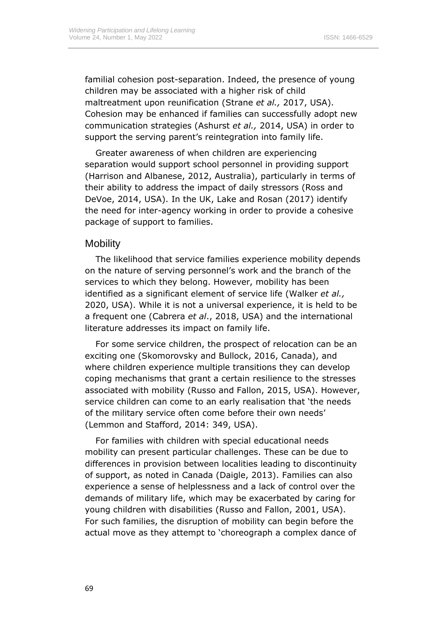familial cohesion post-separation. Indeed, the presence of young children may be associated with a higher risk of child maltreatment upon reunification (Strane *et al.,* 2017, USA). Cohesion may be enhanced if families can successfully adopt new communication strategies (Ashurst *et al.,* 2014, USA) in order to support the serving parent's reintegration into family life.

Greater awareness of when children are experiencing separation would support school personnel in providing support (Harrison and Albanese, 2012, Australia), particularly in terms of their ability to address the impact of daily stressors (Ross and DeVoe, 2014, USA). In the UK, Lake and Rosan (2017) identify the need for inter-agency working in order to provide a cohesive package of support to families.

#### **Mobility**

The likelihood that service families experience mobility depends on the nature of serving personnel's work and the branch of the services to which they belong. However, mobility has been identified as a significant element of service life (Walker *et al.,* 2020, USA). While it is not a universal experience, it is held to be a frequent one (Cabrera *et al*., 2018, USA) and the international literature addresses its impact on family life.

For some service children, the prospect of relocation can be an exciting one (Skomorovsky and Bullock, 2016, Canada), and where children experience multiple transitions they can develop coping mechanisms that grant a certain resilience to the stresses associated with mobility (Russo and Fallon, 2015, USA). However, service children can come to an early realisation that 'the needs of the military service often come before their own needs' (Lemmon and Stafford, 2014: 349, USA).

For families with children with special educational needs mobility can present particular challenges. These can be due to differences in provision between localities leading to discontinuity of support, as noted in Canada (Daigle, 2013). Families can also experience a sense of helplessness and a lack of control over the demands of military life, which may be exacerbated by caring for young children with disabilities (Russo and Fallon, 2001, USA). For such families, the disruption of mobility can begin before the actual move as they attempt to 'choreograph a complex dance of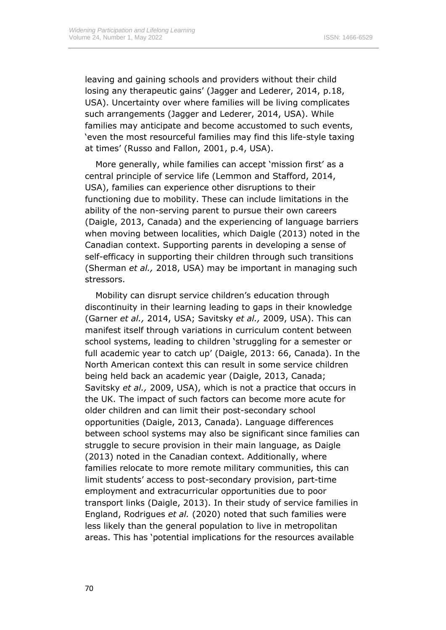leaving and gaining schools and providers without their child losing any therapeutic gains' (Jagger and Lederer, 2014, p.18, USA). Uncertainty over where families will be living complicates such arrangements (Jagger and Lederer, 2014, USA). While families may anticipate and become accustomed to such events, 'even the most resourceful families may find this life-style taxing at times' (Russo and Fallon, 2001, p.4, USA).

More generally, while families can accept 'mission first' as a central principle of service life (Lemmon and Stafford, 2014, USA), families can experience other disruptions to their functioning due to mobility. These can include limitations in the ability of the non-serving parent to pursue their own careers (Daigle, 2013, Canada) and the experiencing of language barriers when moving between localities, which Daigle (2013) noted in the Canadian context. Supporting parents in developing a sense of self-efficacy in supporting their children through such transitions (Sherman *et al.,* 2018, USA) may be important in managing such stressors.

Mobility can disrupt service children's education through discontinuity in their learning leading to gaps in their knowledge (Garner *et al.,* 2014, USA; Savitsky *et al.,* 2009, USA). This can manifest itself through variations in curriculum content between school systems, leading to children 'struggling for a semester or full academic year to catch up' (Daigle, 2013: 66, Canada). In the North American context this can result in some service children being held back an academic year (Daigle, 2013, Canada; Savitsky *et al.,* 2009, USA), which is not a practice that occurs in the UK. The impact of such factors can become more acute for older children and can limit their post-secondary school opportunities (Daigle, 2013, Canada). Language differences between school systems may also be significant since families can struggle to secure provision in their main language, as Daigle (2013) noted in the Canadian context. Additionally, where families relocate to more remote military communities, this can limit students' access to post-secondary provision, part-time employment and extracurricular opportunities due to poor transport links (Daigle, 2013). In their study of service families in England, Rodrigues *et al.* (2020) noted that such families were less likely than the general population to live in metropolitan areas. This has 'potential implications for the resources available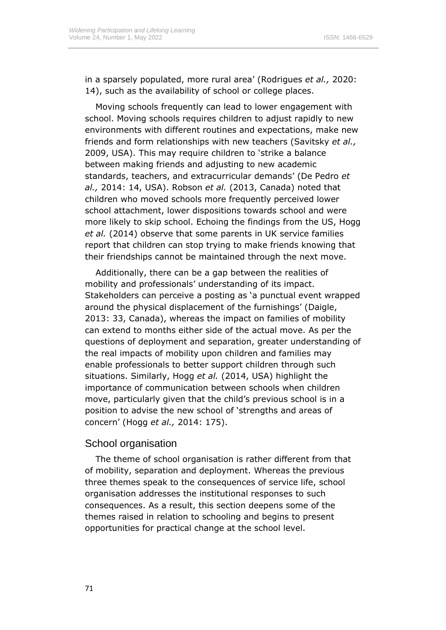in a sparsely populated, more rural area' (Rodrigues *et al.,* 2020: 14), such as the availability of school or college places.

Moving schools frequently can lead to lower engagement with school. Moving schools requires children to adjust rapidly to new environments with different routines and expectations, make new friends and form relationships with new teachers (Savitsky *et al.,* 2009, USA). This may require children to 'strike a balance between making friends and adjusting to new academic standards, teachers, and extracurricular demands' (De Pedro *et al.,* 2014: 14, USA). Robson *et al.* (2013, Canada) noted that children who moved schools more frequently perceived lower school attachment, lower dispositions towards school and were more likely to skip school. Echoing the findings from the US, Hogg *et al.* (2014) observe that some parents in UK service families report that children can stop trying to make friends knowing that their friendships cannot be maintained through the next move.

Additionally, there can be a gap between the realities of mobility and professionals' understanding of its impact. Stakeholders can perceive a posting as 'a punctual event wrapped around the physical displacement of the furnishings' (Daigle, 2013: 33, Canada), whereas the impact on families of mobility can extend to months either side of the actual move. As per the questions of deployment and separation, greater understanding of the real impacts of mobility upon children and families may enable professionals to better support children through such situations. Similarly, Hogg *et al.* (2014, USA) highlight the importance of communication between schools when children move, particularly given that the child's previous school is in a position to advise the new school of 'strengths and areas of concern' (Hogg *et al.,* 2014: 175).

#### School organisation

The theme of school organisation is rather different from that of mobility, separation and deployment. Whereas the previous three themes speak to the consequences of service life, school organisation addresses the institutional responses to such consequences. As a result, this section deepens some of the themes raised in relation to schooling and begins to present opportunities for practical change at the school level.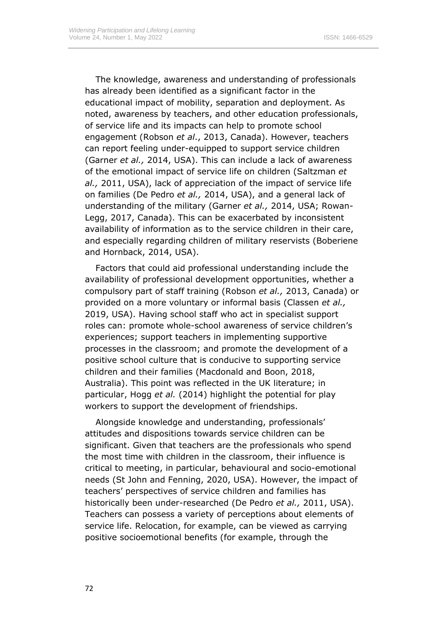The knowledge, awareness and understanding of professionals has already been identified as a significant factor in the educational impact of mobility, separation and deployment. As noted, awareness by teachers, and other education professionals, of service life and its impacts can help to promote school engagement (Robson *et al*., 2013, Canada). However, teachers can report feeling under-equipped to support service children (Garner *et al.,* 2014, USA). This can include a lack of awareness of the emotional impact of service life on children (Saltzman *et al.,* 2011, USA), lack of appreciation of the impact of service life on families (De Pedro *et al.,* 2014, USA), and a general lack of understanding of the military (Garner *et al.,* 2014, USA; Rowan-Legg, 2017, Canada). This can be exacerbated by inconsistent availability of information as to the service children in their care, and especially regarding children of military reservists (Boberiene and Hornback, 2014, USA).

Factors that could aid professional understanding include the availability of professional development opportunities, whether a compulsory part of staff training (Robson *et al.,* 2013, Canada) or provided on a more voluntary or informal basis (Classen *et al.,* 2019, USA). Having school staff who act in specialist support roles can: promote whole-school awareness of service children's experiences; support teachers in implementing supportive processes in the classroom; and promote the development of a positive school culture that is conducive to supporting service children and their families (Macdonald and Boon, 2018, Australia). This point was reflected in the UK literature; in particular, Hogg *et al.* (2014) highlight the potential for play workers to support the development of friendships.

Alongside knowledge and understanding, professionals' attitudes and dispositions towards service children can be significant. Given that teachers are the professionals who spend the most time with children in the classroom, their influence is critical to meeting, in particular, behavioural and socio-emotional needs (St John and Fenning, 2020, USA). However, the impact of teachers' perspectives of service children and families has historically been under-researched (De Pedro *et al.,* 2011, USA). Teachers can possess a variety of perceptions about elements of service life. Relocation, for example, can be viewed as carrying positive socioemotional benefits (for example, through the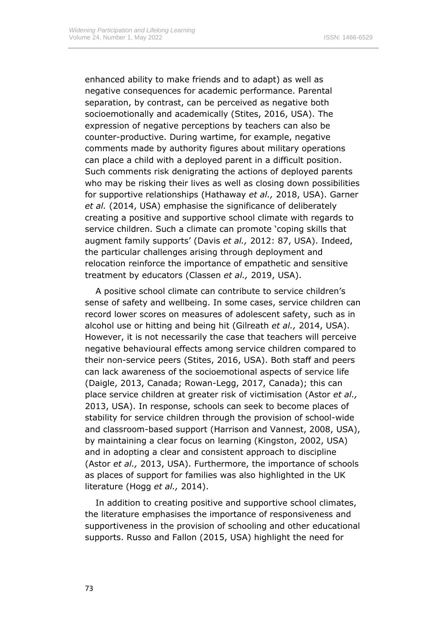enhanced ability to make friends and to adapt) as well as negative consequences for academic performance. Parental separation, by contrast, can be perceived as negative both socioemotionally and academically (Stites, 2016, USA). The expression of negative perceptions by teachers can also be counter-productive. During wartime, for example, negative comments made by authority figures about military operations can place a child with a deployed parent in a difficult position. Such comments risk denigrating the actions of deployed parents who may be risking their lives as well as closing down possibilities for supportive relationships (Hathaway *et al.,* 2018, USA). Garner *et al.* (2014, USA) emphasise the significance of deliberately creating a positive and supportive school climate with regards to service children. Such a climate can promote 'coping skills that augment family supports' (Davis *et al.,* 2012: 87, USA). Indeed, the particular challenges arising through deployment and relocation reinforce the importance of empathetic and sensitive treatment by educators (Classen *et al.,* 2019, USA).

A positive school climate can contribute to service children's sense of safety and wellbeing. In some cases, service children can record lower scores on measures of adolescent safety, such as in alcohol use or hitting and being hit (Gilreath *et al.,* 2014, USA). However, it is not necessarily the case that teachers will perceive negative behavioural effects among service children compared to their non-service peers (Stites, 2016, USA). Both staff and peers can lack awareness of the socioemotional aspects of service life (Daigle, 2013, Canada; Rowan-Legg, 2017, Canada); this can place service children at greater risk of victimisation (Astor *et al.,* 2013, USA). In response, schools can seek to become places of stability for service children through the provision of school-wide and classroom-based support (Harrison and Vannest, 2008, USA), by maintaining a clear focus on learning (Kingston, 2002, USA) and in adopting a clear and consistent approach to discipline (Astor *et al.,* 2013, USA). Furthermore, the importance of schools as places of support for families was also highlighted in the UK literature (Hogg *et al.,* 2014).

In addition to creating positive and supportive school climates, the literature emphasises the importance of responsiveness and supportiveness in the provision of schooling and other educational supports. Russo and Fallon (2015, USA) highlight the need for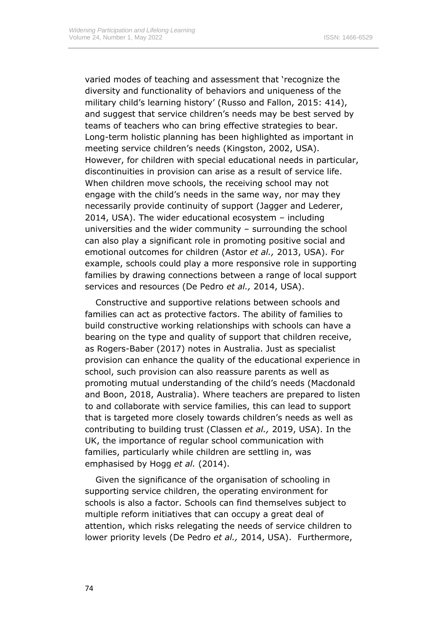varied modes of teaching and assessment that 'recognize the diversity and functionality of behaviors and uniqueness of the military child's learning history' (Russo and Fallon, 2015: 414), and suggest that service children's needs may be best served by teams of teachers who can bring effective strategies to bear. Long-term holistic planning has been highlighted as important in meeting service children's needs (Kingston, 2002, USA). However, for children with special educational needs in particular, discontinuities in provision can arise as a result of service life. When children move schools, the receiving school may not engage with the child's needs in the same way, nor may they necessarily provide continuity of support (Jagger and Lederer, 2014, USA). The wider educational ecosystem – including universities and the wider community – surrounding the school can also play a significant role in promoting positive social and emotional outcomes for children (Astor *et al.,* 2013, USA). For example, schools could play a more responsive role in supporting families by drawing connections between a range of local support services and resources (De Pedro *et al.,* 2014, USA).

Constructive and supportive relations between schools and families can act as protective factors. The ability of families to build constructive working relationships with schools can have a bearing on the type and quality of support that children receive, as Rogers-Baber (2017) notes in Australia. Just as specialist provision can enhance the quality of the educational experience in school, such provision can also reassure parents as well as promoting mutual understanding of the child's needs (Macdonald and Boon, 2018, Australia). Where teachers are prepared to listen to and collaborate with service families, this can lead to support that is targeted more closely towards children's needs as well as contributing to building trust (Classen *et al.,* 2019, USA). In the UK, the importance of regular school communication with families, particularly while children are settling in, was emphasised by Hogg *et al.* (2014).

Given the significance of the organisation of schooling in supporting service children, the operating environment for schools is also a factor. Schools can find themselves subject to multiple reform initiatives that can occupy a great deal of attention, which risks relegating the needs of service children to lower priority levels (De Pedro *et al.,* 2014, USA). Furthermore,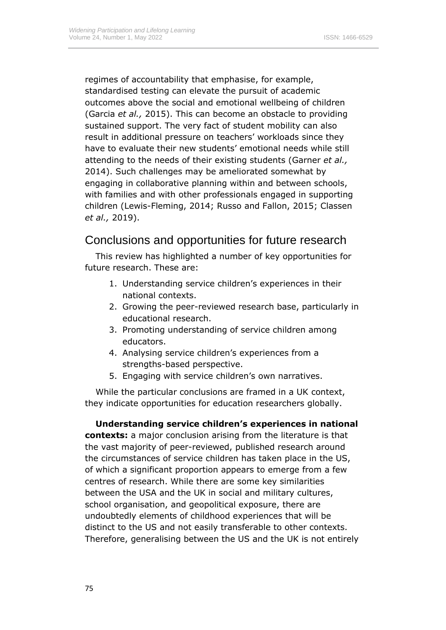regimes of accountability that emphasise, for example, standardised testing can elevate the pursuit of academic outcomes above the social and emotional wellbeing of children (Garcia *et al.,* 2015). This can become an obstacle to providing sustained support. The very fact of student mobility can also result in additional pressure on teachers' workloads since they have to evaluate their new students' emotional needs while still attending to the needs of their existing students (Garner *et al.,* 2014). Such challenges may be ameliorated somewhat by engaging in collaborative planning within and between schools, with families and with other professionals engaged in supporting children (Lewis-Fleming, 2014; Russo and Fallon, 2015; Classen *et al.,* 2019).

# Conclusions and opportunities for future research

This review has highlighted a number of key opportunities for future research. These are:

- 1. Understanding service children's experiences in their national contexts.
- 2. Growing the peer-reviewed research base, particularly in educational research.
- 3. Promoting understanding of service children among educators.
- 4. Analysing service children's experiences from a strengths-based perspective.
- 5. Engaging with service children's own narratives.

While the particular conclusions are framed in a UK context, they indicate opportunities for education researchers globally.

**Understanding service children's experiences in national contexts:** a major conclusion arising from the literature is that the vast majority of peer-reviewed, published research around the circumstances of service children has taken place in the US, of which a significant proportion appears to emerge from a few centres of research. While there are some key similarities between the USA and the UK in social and military cultures, school organisation, and geopolitical exposure, there are undoubtedly elements of childhood experiences that will be distinct to the US and not easily transferable to other contexts. Therefore, generalising between the US and the UK is not entirely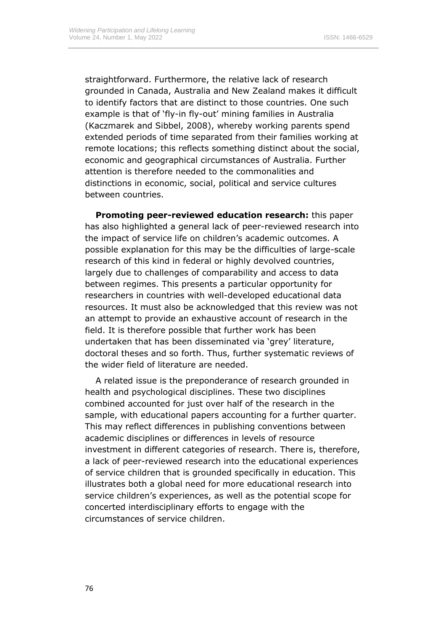straightforward. Furthermore, the relative lack of research grounded in Canada, Australia and New Zealand makes it difficult to identify factors that are distinct to those countries. One such example is that of 'fly-in fly-out' mining families in Australia (Kaczmarek and Sibbel, 2008), whereby working parents spend extended periods of time separated from their families working at remote locations; this reflects something distinct about the social, economic and geographical circumstances of Australia. Further attention is therefore needed to the commonalities and distinctions in economic, social, political and service cultures between countries.

**Promoting peer-reviewed education research:** this paper has also highlighted a general lack of peer-reviewed research into the impact of service life on children's academic outcomes. A possible explanation for this may be the difficulties of large-scale research of this kind in federal or highly devolved countries, largely due to challenges of comparability and access to data between regimes. This presents a particular opportunity for researchers in countries with well-developed educational data resources. It must also be acknowledged that this review was not an attempt to provide an exhaustive account of research in the field. It is therefore possible that further work has been undertaken that has been disseminated via 'grey' literature, doctoral theses and so forth. Thus, further systematic reviews of the wider field of literature are needed.

A related issue is the preponderance of research grounded in health and psychological disciplines. These two disciplines combined accounted for just over half of the research in the sample, with educational papers accounting for a further quarter. This may reflect differences in publishing conventions between academic disciplines or differences in levels of resource investment in different categories of research. There is, therefore, a lack of peer-reviewed research into the educational experiences of service children that is grounded specifically in education. This illustrates both a global need for more educational research into service children's experiences, as well as the potential scope for concerted interdisciplinary efforts to engage with the circumstances of service children.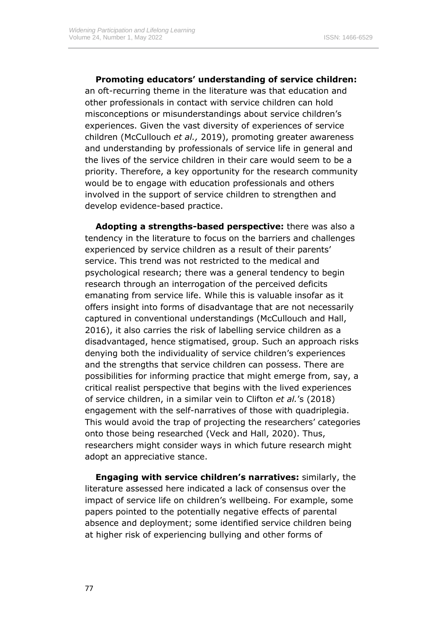**Promoting educators' understanding of service children:**  an oft-recurring theme in the literature was that education and other professionals in contact with service children can hold misconceptions or misunderstandings about service children's experiences. Given the vast diversity of experiences of service children (McCullouch *et al.,* 2019), promoting greater awareness and understanding by professionals of service life in general and the lives of the service children in their care would seem to be a priority. Therefore, a key opportunity for the research community would be to engage with education professionals and others involved in the support of service children to strengthen and develop evidence-based practice.

**Adopting a strengths-based perspective:** there was also a tendency in the literature to focus on the barriers and challenges experienced by service children as a result of their parents' service. This trend was not restricted to the medical and psychological research; there was a general tendency to begin research through an interrogation of the perceived deficits emanating from service life. While this is valuable insofar as it offers insight into forms of disadvantage that are not necessarily captured in conventional understandings (McCullouch and Hall, 2016), it also carries the risk of labelling service children as a disadvantaged, hence stigmatised, group. Such an approach risks denying both the individuality of service children's experiences and the strengths that service children can possess. There are possibilities for informing practice that might emerge from, say, a critical realist perspective that begins with the lived experiences of service children, in a similar vein to Clifton *et al.*'s (2018) engagement with the self-narratives of those with quadriplegia. This would avoid the trap of projecting the researchers' categories onto those being researched (Veck and Hall, 2020). Thus, researchers might consider ways in which future research might adopt an appreciative stance.

**Engaging with service children's narratives:** similarly, the literature assessed here indicated a lack of consensus over the impact of service life on children's wellbeing. For example, some papers pointed to the potentially negative effects of parental absence and deployment; some identified service children being at higher risk of experiencing bullying and other forms of

77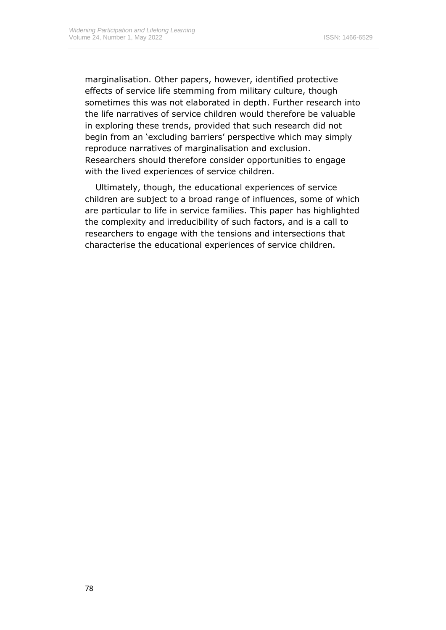marginalisation. Other papers, however, identified protective effects of service life stemming from military culture, though sometimes this was not elaborated in depth. Further research into the life narratives of service children would therefore be valuable in exploring these trends, provided that such research did not begin from an 'excluding barriers' perspective which may simply reproduce narratives of marginalisation and exclusion. Researchers should therefore consider opportunities to engage with the lived experiences of service children.

Ultimately, though, the educational experiences of service children are subject to a broad range of influences, some of which are particular to life in service families. This paper has highlighted the complexity and irreducibility of such factors, and is a call to researchers to engage with the tensions and intersections that characterise the educational experiences of service children.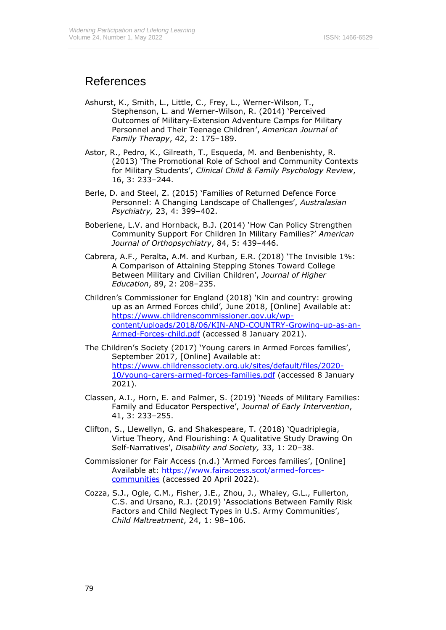# References

- Ashurst, K., Smith, L., Little, C., Frey, L., Werner-Wilson, T., Stephenson, L. and Werner-Wilson, R. (2014) 'Perceived Outcomes of Military-Extension Adventure Camps for Military Personnel and Their Teenage Children', *American Journal of Family Therapy*, 42, 2: 175–189.
- Astor, R., Pedro, K., Gilreath, T., Esqueda, M. and Benbenishty, R. (2013) 'The Promotional Role of School and Community Contexts for Military Students', *Clinical Child & Family Psychology Review*, 16, 3: 233–244.
- Berle, D. and Steel, Z. (2015) 'Families of Returned Defence Force Personnel: A Changing Landscape of Challenges', *Australasian Psychiatry,* 23, 4: 399–402.
- Boberiene, L.V. and Hornback, B.J. (2014) 'How Can Policy Strengthen Community Support For Children In Military Families?' *American Journal of Orthopsychiatry*, 84, 5: 439–446.
- Cabrera, A.F., Peralta, A.M. and Kurban, E.R. (2018) 'The Invisible 1%: A Comparison of Attaining Stepping Stones Toward College Between Military and Civilian Children', *Journal of Higher Education*, 89, 2: 208–235.
- Children's Commissioner for England (2018) 'Kin and country: growing up as an Armed Forces child'*,* June 2018, [Online] Available at: [https://www.childrenscommissioner.gov.uk/wp](https://www.childrenscommissioner.gov.uk/wp-content/uploads/2018/06/KIN-AND-COUNTRY-Growing-up-as-an-Armed-Forces-child.pdf)[content/uploads/2018/06/KIN-AND-COUNTRY-Growing-up-as-an-](https://www.childrenscommissioner.gov.uk/wp-content/uploads/2018/06/KIN-AND-COUNTRY-Growing-up-as-an-Armed-Forces-child.pdf)[Armed-Forces-child.pdf](https://www.childrenscommissioner.gov.uk/wp-content/uploads/2018/06/KIN-AND-COUNTRY-Growing-up-as-an-Armed-Forces-child.pdf) (accessed 8 January 2021).
- The Children's Society (2017) 'Young carers in Armed Forces families', September 2017, [Online] Available at: [https://www.childrenssociety.org.uk/sites/default/files/2020-](https://www.childrenssociety.org.uk/sites/default/files/2020-10/young-carers-armed-forces-families.pdf) [10/young-carers-armed-forces-families.pdf](https://www.childrenssociety.org.uk/sites/default/files/2020-10/young-carers-armed-forces-families.pdf) (accessed 8 January 2021).
- Classen, A.I., Horn, E. and Palmer, S. (2019) 'Needs of Military Families: Family and Educator Perspective', *Journal of Early Intervention*, 41, 3: 233–255.
- Clifton, S., Llewellyn, G. and Shakespeare, T. (2018) 'Quadriplegia, Virtue Theory, And Flourishing: A Qualitative Study Drawing On Self-Narratives', *Disability and Society,* 33, 1: 20–38.
- Commissioner for Fair Access (n.d.) 'Armed Forces families', [Online] Available at: [https://www.fairaccess.scot/armed-forces](https://www.fairaccess.scot/armed-forces-communities)[communities](https://www.fairaccess.scot/armed-forces-communities) (accessed 20 April 2022).
- Cozza, S.J., Ogle, C.M., Fisher, J.E., Zhou, J., Whaley, G.L., Fullerton, C.S. and Ursano, R.J. (2019) 'Associations Between Family Risk Factors and Child Neglect Types in U.S. Army Communities', *Child Maltreatment*, 24, 1: 98–106.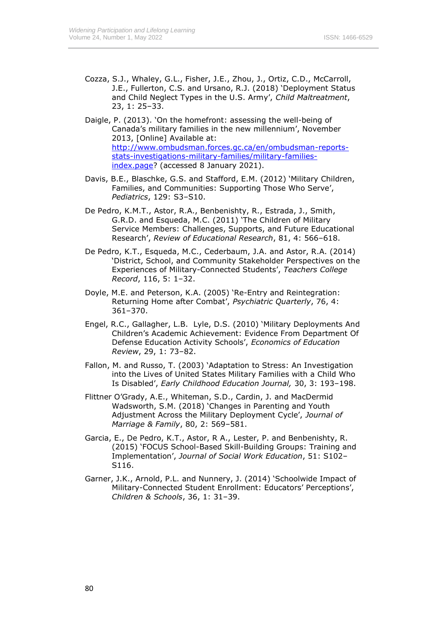- Cozza, S.J., Whaley, G.L., Fisher, J.E., Zhou, J., Ortiz, C.D., McCarroll, J.E., Fullerton, C.S. and Ursano, R.J. (2018) 'Deployment Status and Child Neglect Types in the U.S. Army', *Child Maltreatment*, 23, 1: 25–33.
- Daigle, P. (2013). 'On the homefront: assessing the well-being of Canada's military families in the new millennium', November 2013, [Online] Available at: [http://www.ombudsman.forces.gc.ca/en/ombudsman-reports](http://www.ombudsman.forces.gc.ca/en/ombudsman-reports-stats-investigations-military-families/military-families-index.page)[stats-investigations-military-families/military-families](http://www.ombudsman.forces.gc.ca/en/ombudsman-reports-stats-investigations-military-families/military-families-index.page)[index.page?](http://www.ombudsman.forces.gc.ca/en/ombudsman-reports-stats-investigations-military-families/military-families-index.page) (accessed 8 January 2021).
- Davis, B.E., Blaschke, G.S. and Stafford, E.M. (2012) 'Military Children, Families, and Communities: Supporting Those Who Serve', *Pediatrics*, 129: S3–S10.
- De Pedro, K.M.T., Astor, R.A., Benbenishty, R., Estrada, J., Smith, G.R.D. and Esqueda, M.C. (2011) 'The Children of Military Service Members: Challenges, Supports, and Future Educational Research', *Review of Educational Research*, 81, 4: 566–618.
- De Pedro, K.T., Esqueda, M.C., Cederbaum, J.A. and Astor, R.A. (2014) 'District, School, and Community Stakeholder Perspectives on the Experiences of Military-Connected Students', *Teachers College Record*, 116, 5: 1–32.
- Doyle, M.E. and Peterson, K.A. (2005) 'Re-Entry and Reintegration: Returning Home after Combat', *Psychiatric Quarterly*, 76, 4: 361–370.
- Engel, R.C., Gallagher, L.B. Lyle, D.S. (2010) 'Military Deployments And Children's Academic Achievement: Evidence From Department Of Defense Education Activity Schools', *Economics of Education Review*, 29, 1: 73–82.
- Fallon, M. and Russo, T. (2003) 'Adaptation to Stress: An Investigation into the Lives of United States Military Families with a Child Who Is Disabled', *Early Childhood Education Journal,* 30, 3: 193–198.
- Flittner O'Grady, A.E., Whiteman, S.D., Cardin, J. and MacDermid Wadsworth, S.M. (2018) 'Changes in Parenting and Youth Adjustment Across the Military Deployment Cycle', *Journal of Marriage & Family*, 80, 2: 569–581.
- Garcia, E., De Pedro, K.T., Astor, R A., Lester, P. and Benbenishty, R. (2015) 'FOCUS School-Based Skill-Building Groups: Training and Implementation', *Journal of Social Work Education*, 51: S102– S116.
- Garner, J.K., Arnold, P.L. and Nunnery, J. (2014) 'Schoolwide Impact of Military-Connected Student Enrollment: Educators' Perceptions', *Children & Schools*, 36, 1: 31–39.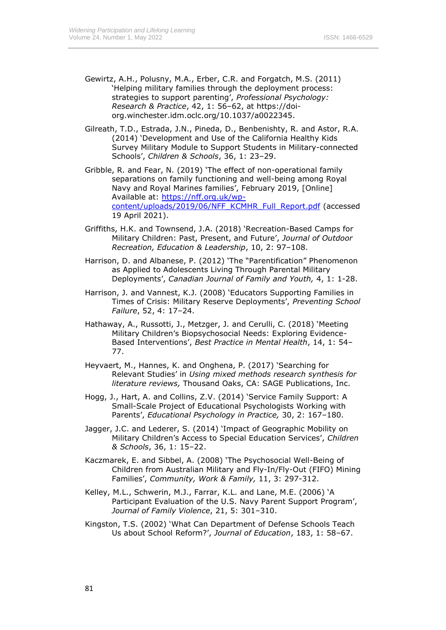- Gewirtz, A.H., Polusny, M.A., Erber, C.R. and Forgatch, M.S. (2011) 'Helping military families through the deployment process: strategies to support parenting', *Professional Psychology: Research & Practice*, 42, 1: 56–62, at https://doiorg.winchester.idm.oclc.org/10.1037/a0022345.
- Gilreath, T.D., Estrada, J.N., Pineda, D., Benbenishty, R. and Astor, R.A. (2014) 'Development and Use of the California Healthy Kids Survey Military Module to Support Students in Military-connected Schools', *Children & Schools*, 36, 1: 23–29.
- Gribble, R. and Fear, N. (2019) 'The effect of non-operational family separations on family functioning and well-being among Royal Navy and Royal Marines families', February 2019, [Online] Available at: [https://nff.org.uk/wp](https://nff.org.uk/wp-content/uploads/2019/06/NFF_KCMHR_Full_Report.pdf)[content/uploads/2019/06/NFF\\_KCMHR\\_Full\\_Report.pdf](https://nff.org.uk/wp-content/uploads/2019/06/NFF_KCMHR_Full_Report.pdf) (accessed 19 April 2021).
- Griffiths, H.K. and Townsend, J.A. (2018) 'Recreation-Based Camps for Military Children: Past, Present, and Future', *Journal of Outdoor Recreation, Education & Leadership*, 10, 2: 97–108.
- Harrison, D. and Albanese, P. (2012) 'The "Parentification" Phenomenon as Applied to Adolescents Living Through Parental Military Deployments', *Canadian Journal of Family and Youth,* 4, 1: 1-28.
- Harrison, J. and Vannest, K.J. (2008) 'Educators Supporting Families in Times of Crisis: Military Reserve Deployments', *Preventing School Failure*, 52, 4: 17–24.
- Hathaway, A., Russotti, J., Metzger, J. and Cerulli, C. (2018) 'Meeting Military Children's Biopsychosocial Needs: Exploring Evidence-Based Interventions', *Best Practice in Mental Health*, 14, 1: 54– 77.
- Heyvaert, M., Hannes, K. and Onghena, P. (2017) 'Searching for Relevant Studies' in *Using mixed methods research synthesis for literature reviews,* Thousand Oaks, CA: SAGE Publications, Inc.
- Hogg, J., Hart, A. and Collins, Z.V. (2014) 'Service Family Support: A Small-Scale Project of Educational Psychologists Working with Parents', *Educational Psychology in Practice,* 30, 2: 167–180.
- Jagger, J.C. and Lederer, S. (2014) 'Impact of Geographic Mobility on Military Children's Access to Special Education Services', *Children & Schools*, 36, 1: 15–22.
- Kaczmarek, E. and Sibbel, A. (2008) 'The Psychosocial Well-Being of Children from Australian Military and Fly-In/Fly-Out (FIFO) Mining Families', *Community, Work & Family,* 11, 3: 297-312.
- Kelley, M.L., Schwerin, M.J., Farrar, K.L. and Lane, M.E. (2006) 'A Participant Evaluation of the U.S. Navy Parent Support Program', *Journal of Family Violence*, 21, 5: 301–310.
- Kingston, T.S. (2002) 'What Can Department of Defense Schools Teach Us about School Reform?', *Journal of Education*, 183, 1: 58–67.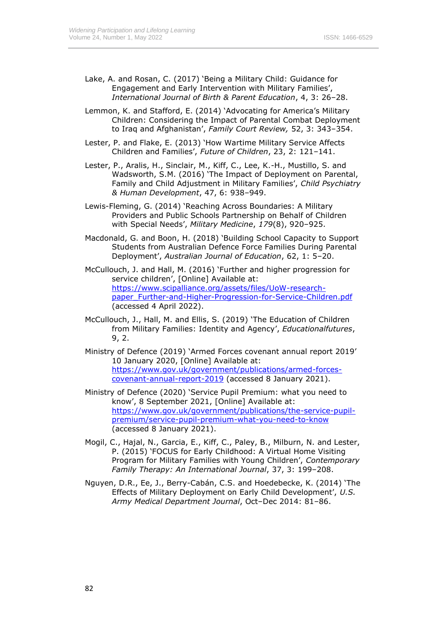- Lake, A. and Rosan, C. (2017) 'Being a Military Child: Guidance for Engagement and Early Intervention with Military Families', *International Journal of Birth & Parent Education*, 4, 3: 26–28.
- Lemmon, K. and Stafford, E. (2014) 'Advocating for America's Military Children: Considering the Impact of Parental Combat Deployment to Iraq and Afghanistan', *Family Court Review,* 52, 3: 343–354.
- Lester, P. and Flake, E. (2013) 'How Wartime Military Service Affects Children and Families', *Future of Children*, 23, 2: 121–141.
- Lester, P., Aralis, H., Sinclair, M., Kiff, C., Lee, K.-H., Mustillo, S. and Wadsworth, S.M. (2016) 'The Impact of Deployment on Parental, Family and Child Adjustment in Military Families', *Child Psychiatry & Human Development*, 47, 6: 938–949.
- Lewis-Fleming, G. (2014) 'Reaching Across Boundaries: A Military Providers and Public Schools Partnership on Behalf of Children with Special Needs', *Military Medicine*, *179*(8), 920–925.
- Macdonald, G. and Boon, H. (2018) 'Building School Capacity to Support Students from Australian Defence Force Families During Parental Deployment', *Australian Journal of Education*, 62, 1: 5–20.
- McCullouch, J. and Hall, M. (2016) 'Further and higher progression for service children', [Online] Available at: [https://www.scipalliance.org/assets/files/UoW-research](https://www.scipalliance.org/assets/files/UoW-research-paper_Further-and-Higher-Progression-for-Service-Children.pdf)[paper\\_Further-and-Higher-Progression-for-Service-Children.pdf](https://www.scipalliance.org/assets/files/UoW-research-paper_Further-and-Higher-Progression-for-Service-Children.pdf) (accessed 4 April 2022).
- McCullouch, J., Hall, M. and Ellis, S. (2019) 'The Education of Children from Military Families: Identity and Agency', *Educationalfutures*, 9, 2.
- Ministry of Defence (2019) 'Armed Forces covenant annual report 2019' 10 January 2020, [Online] Available at: [https://www.gov.uk/government/publications/armed-forces](https://www.gov.uk/government/publications/armed-forces-covenant-annual-report-2019)[covenant-annual-report-2019](https://www.gov.uk/government/publications/armed-forces-covenant-annual-report-2019) (accessed 8 January 2021).
- Ministry of Defence (2020) 'Service Pupil Premium: what you need to know', 8 September 2021, [Online] Available at: [https://www.gov.uk/government/publications/the-service-pupil](https://www.gov.uk/government/publications/the-service-pupil-premium/service-pupil-premium-what-you-need-to-know)[premium/service-pupil-premium-what-you-need-to-know](https://www.gov.uk/government/publications/the-service-pupil-premium/service-pupil-premium-what-you-need-to-know) (accessed 8 January 2021).
- Mogil, C., Hajal, N., Garcia, E., Kiff, C., Paley, B., Milburn, N. and Lester, P. (2015) 'FOCUS for Early Childhood: A Virtual Home Visiting Program for Military Families with Young Children', *Contemporary Family Therapy: An International Journal*, 37, 3: 199–208.
- Nguyen, D.R., Ee, J., Berry-Cabán, C.S. and Hoedebecke, K. (2014) 'The Effects of Military Deployment on Early Child Development', *U.S. Army Medical Department Journal*, Oct–Dec 2014: 81–86.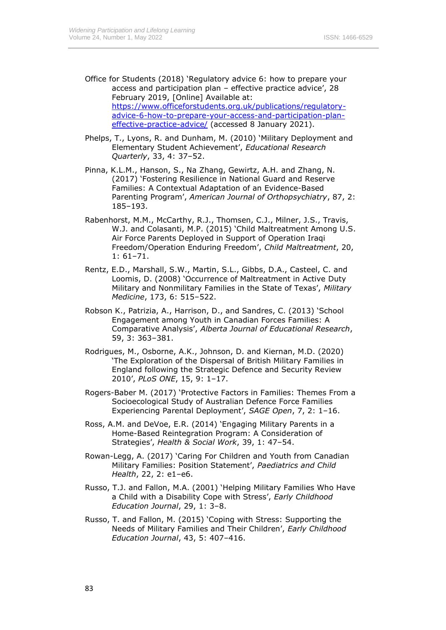- Office for Students (2018) 'Regulatory advice 6: how to prepare your access and participation plan – effective practice advice', 28 February 2019, [Online] Available at: [https://www.officeforstudents.org.uk/publications/regulatory](https://www.officeforstudents.org.uk/publications/regulatory-advice-6-how-to-prepare-your-access-and-participation-plan-effective-practice-advice/)[advice-6-how-to-prepare-your-access-and-participation-plan](https://www.officeforstudents.org.uk/publications/regulatory-advice-6-how-to-prepare-your-access-and-participation-plan-effective-practice-advice/)[effective-practice-advice/](https://www.officeforstudents.org.uk/publications/regulatory-advice-6-how-to-prepare-your-access-and-participation-plan-effective-practice-advice/) (accessed 8 January 2021).
- Phelps, T., Lyons, R. and Dunham, M. (2010) 'Military Deployment and Elementary Student Achievement', *Educational Research Quarterly*, 33, 4: 37–52.
- Pinna, K.L.M., Hanson, S., Na Zhang, Gewirtz, A.H. and Zhang, N. (2017) 'Fostering Resilience in National Guard and Reserve Families: A Contextual Adaptation of an Evidence-Based Parenting Program', *American Journal of Orthopsychiatry*, 87, 2: 185–193.
- Rabenhorst, M.M., McCarthy, R.J., Thomsen, C.J., Milner, J.S., Travis, W.J. and Colasanti, M.P. (2015) 'Child Maltreatment Among U.S. Air Force Parents Deployed in Support of Operation Iraqi Freedom/Operation Enduring Freedom', *Child Maltreatment*, 20, 1: 61–71.
- Rentz, E.D., Marshall, S.W., Martin, S.L., Gibbs, D.A., Casteel, C. and Loomis, D. (2008) 'Occurrence of Maltreatment in Active Duty Military and Nonmilitary Families in the State of Texas', *Military Medicine*, 173, 6: 515–522.
- Robson K., Patrizia, A., Harrison, D., and Sandres, C. (2013) 'School Engagement among Youth in Canadian Forces Families: A Comparative Analysis', *Alberta Journal of Educational Research*, 59, 3: 363–381.
- Rodrigues, M., Osborne, A.K., Johnson, D. and Kiernan, M.D. (2020) 'The Exploration of the Dispersal of British Military Families in England following the Strategic Defence and Security Review 2010', *PLoS ONE*, 15, 9: 1–17.
- Rogers-Baber M. (2017) 'Protective Factors in Families: Themes From a Socioecological Study of Australian Defence Force Families Experiencing Parental Deployment', *SAGE Open*, 7, 2: 1–16.
- Ross, A.M. and DeVoe, E.R. (2014) 'Engaging Military Parents in a Home-Based Reintegration Program: A Consideration of Strategies', *Health & Social Work*, 39, 1: 47–54.
- Rowan-Legg, A. (2017) 'Caring For Children and Youth from Canadian Military Families: Position Statement', *Paediatrics and Child Health*, 22, 2: e1–e6.
- Russo, T.J. and Fallon, M.A. (2001) 'Helping Military Families Who Have a Child with a Disability Cope with Stress', *Early Childhood Education Journal*, 29, 1: 3–8.
- Russo, T. and Fallon, M. (2015) 'Coping with Stress: Supporting the Needs of Military Families and Their Children', *Early Childhood Education Journal*, 43, 5: 407–416.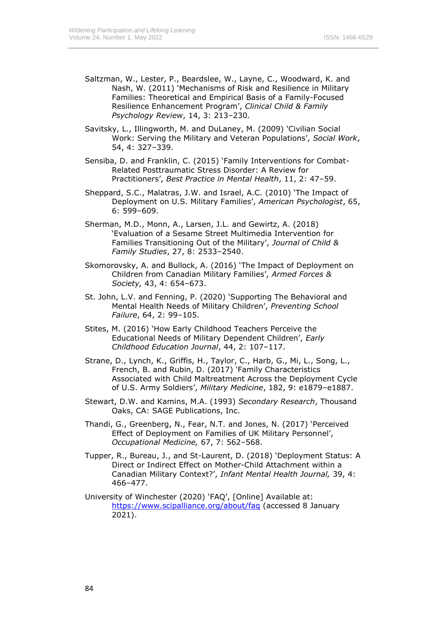- Saltzman, W., Lester, P., Beardslee, W., Layne, C., Woodward, K. and Nash, W. (2011) 'Mechanisms of Risk and Resilience in Military Families: Theoretical and Empirical Basis of a Family-Focused Resilience Enhancement Program', *Clinical Child & Family Psychology Review*, 14, 3: 213–230.
- Savitsky, L., Illingworth, M. and DuLaney, M. (2009) 'Civilian Social Work: Serving the Military and Veteran Populations', *Social Work*, 54, 4: 327–339.
- Sensiba, D. and Franklin, C. (2015) 'Family Interventions for Combat-Related Posttraumatic Stress Disorder: A Review for Practitioners', *Best Practice in Mental Health*, 11, 2: 47–59.
- Sheppard, S.C., Malatras, J.W. and Israel, A.C. (2010) 'The Impact of Deployment on U.S. Military Families', *American Psychologist*, 65, 6: 599–609.
- Sherman, M.D., Monn, A., Larsen, J.L. and Gewirtz, A. (2018) 'Evaluation of a Sesame Street Multimedia Intervention for Families Transitioning Out of the Military', *Journal of Child & Family Studies*, 27, 8: 2533–2540.
- Skomorovsky, A. and Bullock, A. (2016) 'The Impact of Deployment on Children from Canadian Military Families', *Armed Forces & Society,* 43, 4: 654–673.
- St. John, L.V. and Fenning, P. (2020) 'Supporting The Behavioral and Mental Health Needs of Military Children', *Preventing School Failure*, 64, 2: 99–105.
- Stites, M. (2016) 'How Early Childhood Teachers Perceive the Educational Needs of Military Dependent Children', *Early Childhood Education Journal*, 44, 2: 107–117.
- Strane, D., Lynch, K., Griffis, H., Taylor, C., Harb, G., Mi, L., Song, L., French, B. and Rubin, D. (2017) 'Family Characteristics Associated with Child Maltreatment Across the Deployment Cycle of U.S. Army Soldiers', *Military Medicine*, 182, 9: e1879–e1887.
- Stewart, D.W. and Kamins, M.A. (1993) *Secondary Research*, Thousand Oaks, CA: SAGE Publications, Inc.
- Thandi, G., Greenberg, N., Fear, N.T. and Jones, N. (2017) 'Perceived Effect of Deployment on Families of UK Military Personnel', *Occupational Medicine,* 67, 7: 562–568.
- Tupper, R., Bureau, J., and St-Laurent, D. (2018) 'Deployment Status: A Direct or Indirect Effect on Mother-Child Attachment within a Canadian Military Context?', *Infant Mental Health Journal,* 39, 4: 466–477.
- University of Winchester (2020) 'FAQ', [Online] Available at: <https://www.scipalliance.org/about/faq> (accessed 8 January 2021).